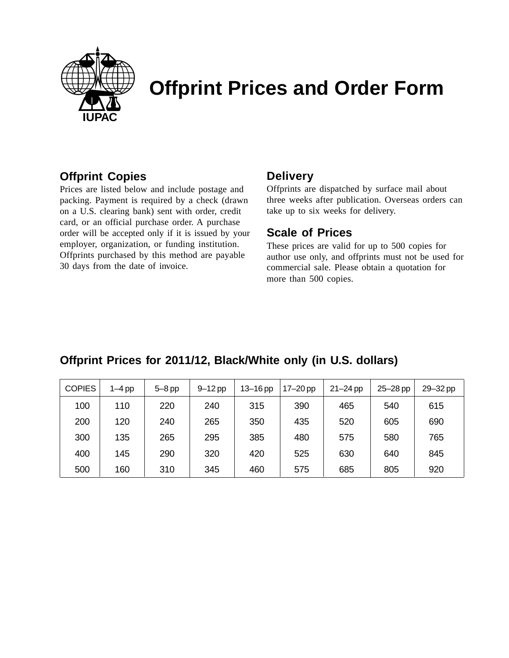

# **Offprint Prices and Order Form**

#### **Offprint Copies**

Prices are listed below and include postage and packing. Payment is required by a check (drawn on a U.S. clearing bank) sent with order, credit card, or an official purchase order. A purchase order will be accepted only if it is issued by your employer, organization, or funding institution. Offprints purchased by this method are payable 30 days from the date of invoice.

#### **Delivery**

Offprints are dispatched by surface mail about three weeks after publication. Overseas orders can take up to six weeks for delivery.

#### **Scale of Prices**

These prices are valid for up to 500 copies for author use only, and offprints must not be used for commercial sale. Please obtain a quotation for more than 500 copies.

### **Offprint Prices for 2011/12, Black/White only (in U.S. dollars)**

| <b>COPIES</b> | $1-4$ pp | $5 - 8$ pp | $9 - 12$ pp | $13 - 16$ pp | $17-20$ pp | $21 - 24$ pp | $25 - 28$ pp | 29-32 pp |
|---------------|----------|------------|-------------|--------------|------------|--------------|--------------|----------|
| 100           | 110      | 220        | 240         | 315          | 390        | 465          | 540          | 615      |
| 200           | 120      | 240        | 265         | 350          | 435        | 520          | 605          | 690      |
| 300           | 135      | 265        | 295         | 385          | 480        | 575          | 580          | 765      |
| 400           | 145      | 290        | 320         | 420          | 525        | 630          | 640          | 845      |
| 500           | 160      | 310        | 345         | 460          | 575        | 685          | 805          | 920      |